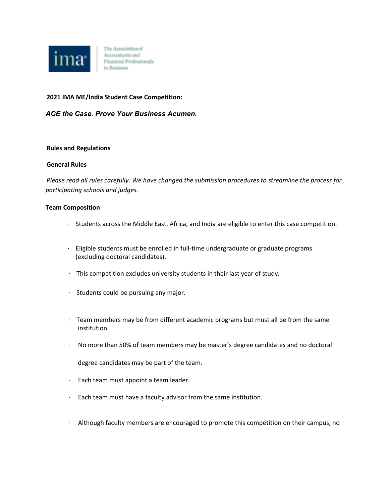

The Association of Accountants and Financial Professionals in Business

## **2021 IMA ME/India Student Case Competition:**

*ACE the Case. Prove Your Business Acumen.*

#### **Rules and Regulations**

## **General Rules**

*Please read all rules carefully. We have changed the submission procedures to streamline the process for participating schools and judges.*

#### **Team Composition**

- · Students across the Middle East, Africa, and India are eligible to enter this case competition.
- · Eligible students must be enrolled in full-time undergraduate or graduate programs (excluding doctoral candidates).
- · This competition excludes university students in their last year of study.
- · Students could be pursuing any major.
- · Team members may be from different academic programs but must all be from the same institution.
- · No more than 50% of team members may be master's degree candidates and no doctoral

degree candidates may be part of the team.

- · Each team must appoint a team leader.
- · Each team must have a faculty advisor from the same institution.
- · Although faculty members are encouraged to promote this competition on their campus, no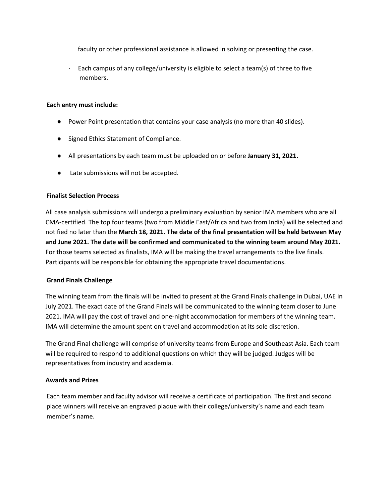faculty or other professional assistance is allowed in solving or presenting the case.

 $\cdot$  Each campus of any college/university is eligible to select a team(s) of three to five members.

# **Each entry must include:**

- Power Point presentation that contains your case analysis (no more than 40 slides).
- Signed Ethics Statement of Compliance.
- All presentations by each team must be uploaded on or before **January 31, 2021.**
- Late submissions will not be accepted.

## **Finalist Selection Process**

All case analysis submissions will undergo a preliminary evaluation by senior IMA members who are all CMA-certified. The top four teams (two from Middle East/Africa and two from India) will be selected and notified no later than the **March 18, 2021. The date of the final presentation will be held between May and June 2021. The date will be confirmed and communicated to the winning team around May 2021.** For those teams selected as finalists, IMA will be making the travel arrangements to the live finals. Participants will be responsible for obtaining the appropriate travel documentations.

# **Grand Finals Challenge**

The winning team from the finals will be invited to present at the Grand Finals challenge in Dubai, UAE in July 2021. The exact date of the Grand Finals will be communicated to the winning team closer to June 2021. IMA will pay the cost of travel and one-night accommodation for members of the winning team. IMA will determine the amount spent on travel and accommodation at its sole discretion.

The Grand Final challenge will comprise of university teams from Europe and Southeast Asia. Each team will be required to respond to additional questions on which they will be judged. Judges will be representatives from industry and academia.

#### **Awards and Prizes**

Each team member and faculty advisor will receive a certificate of participation. The first and second place winners will receive an engraved plaque with their college/university's name and each team member's name.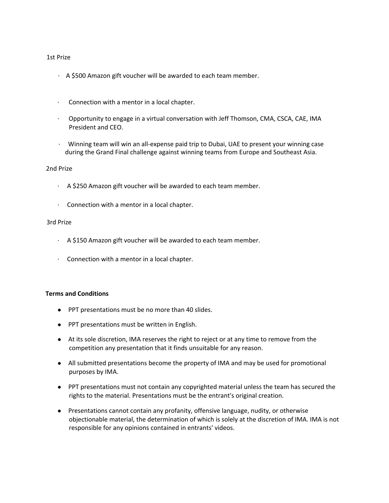#### 1st Prize

- $\cdot$  A \$500 Amazon gift voucher will be awarded to each team member.
- · Connection with a mentor in a local chapter.
- · Opportunity to engage in a virtual conversation with Jeff Thomson, CMA, CSCA, CAE, IMA President and CEO.
- · Winning team will win an all-expense paid trip to Dubai, UAE to present your winning case during the Grand Final challenge against winning teams from Europe and Southeast Asia.

## 2nd Prize

- $\cdot$  A \$250 Amazon gift voucher will be awarded to each team member.
- · Connection with a mentor in a local chapter.

## 3rd Prize

- · A \$150 Amazon gift voucher will be awarded to each team member.
- · Connection with a mentor in a local chapter.

# **Terms and Conditions**

- PPT presentations must be no more than 40 slides.
- PPT presentations must be written in English.
- At its sole discretion, IMA reserves the right to reject or at any time to remove from the competition any presentation that it finds unsuitable for any reason.
- All submitted presentations become the property of IMA and may be used for promotional purposes by IMA.
- PPT presentations must not contain any copyrighted material unless the team has secured the rights to the material. Presentations must be the entrant's original creation.
- Presentations cannot contain any profanity, offensive language, nudity, or otherwise objectionable material, the determination of which is solely at the discretion of IMA. IMA is not responsible for any opinions contained in entrants' videos.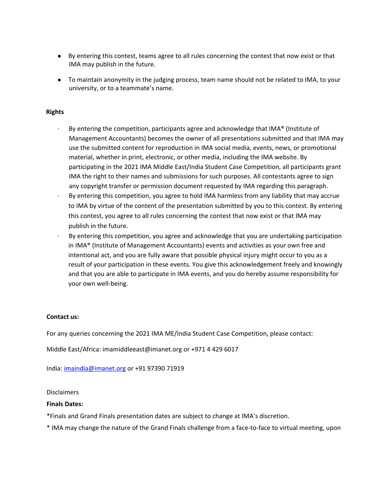- By entering this contest, teams agree to all rules concerning the contest that now exist or that IMA may publish in the future.
- To maintain anonymity in the judging process, team name should not be related to IMA, to your university, or to a teammate's name.

# **Rights**

- By entering the competition, participants agree and acknowledge that IMA® (Institute of Management Accountants) becomes the owner of all presentations submitted and that IMA may use the submitted content for reproduction in IMA social media, events, news, or promotional material, whether in print, electronic, or other media, including the IMA website. By participating in the 2021 IMA Middle East/India Student Case Competition, all participants grant IMA the right to their names and submissions for such purposes. All contestants agree to sign any copyright transfer or permission document requested by IMA regarding this paragraph.
- · By entering this competition, you agree to hold IMA harmless from any liability that may accrue to IMA by virtue of the content of the presentation submitted by you to this contest. By entering this contest, you agree to all rules concerning the contest that now exist or that IMA may publish in the future.
- · By entering this competition, you agree and acknowledge that you are undertaking participation in IMA® (Institute of Management Accountants) events and activities as your own free and intentional act, and you are fully aware that possible physical injury might occur to you as a result of your participation in these events. You give this acknowledgement freely and knowingly and that you are able to participate in IMA events, and you do hereby assume responsibility for your own well-being.

# **Contact us:**

For any queries concerning the 2021 IMA ME/India Student Case Competition, please contact:

Middle East/Africa: imamiddleeast@imanet.org or +971 4 429 6017

India: imaindia@imanet.org or +91 97390 71919

#### **Disclaimers**

# **Finals Dates:**

\*Finals and Grand Finals presentation dates are subject to change at IMA's discretion.

\* IMA may change the nature of the Grand Finals challenge from a face-to-face to virtual meeting, upon